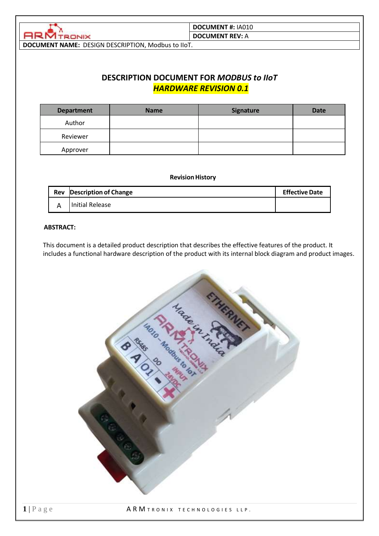

#### **DOCUMENT #:** IA010 **DOCUMENT REV:** A

**DOCUMENT NAME:** DESIGN DESCRIPTION, Modbus to IIoT.

## **DESCRIPTION DOCUMENT FOR** *MODBUS to IIoT HARDWARE REVISION 0.1*

| <b>Department</b> | <b>Name</b> | <b>Signature</b> | <b>Date</b> |
|-------------------|-------------|------------------|-------------|
| Author            |             |                  |             |
| Reviewer          |             |                  |             |
| Approver          |             |                  |             |

#### **Revision History**

<span id="page-0-0"></span>

| Rev | <b>Description of Change</b> | <b>Effective Date</b> |
|-----|------------------------------|-----------------------|
|     | l Initial Release            |                       |

#### **ABSTRACT:**

This document is a detailed product description that describes the effective features of the product. It includes a functional hardware description of the product with its internal block diagram and product images.

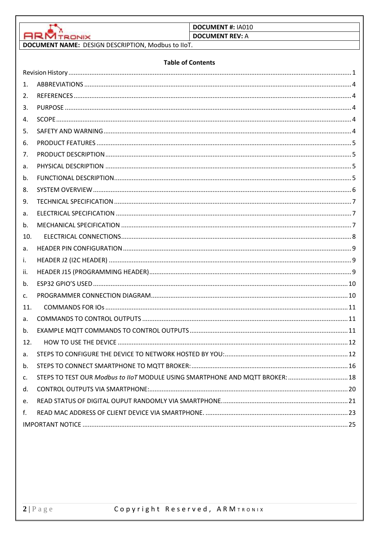|                    |                                                                         | <b>DOCUMENT #: IA010</b>                                                      |
|--------------------|-------------------------------------------------------------------------|-------------------------------------------------------------------------------|
|                    | <b>ARM TRONIX</b><br>DOCUMENT NAME: DESIGN DESCRIPTION, Modbus to IIoT. | <b>DOCUMENT REV: A</b>                                                        |
|                    |                                                                         |                                                                               |
|                    | <b>Table of Contents</b>                                                |                                                                               |
|                    |                                                                         |                                                                               |
| $\mathbf{1}$ .     |                                                                         |                                                                               |
| 2.                 |                                                                         |                                                                               |
| 3.                 |                                                                         |                                                                               |
| 4.                 |                                                                         |                                                                               |
| 5.                 |                                                                         |                                                                               |
| 6.                 |                                                                         |                                                                               |
| 7.                 |                                                                         |                                                                               |
| a.                 |                                                                         |                                                                               |
| b.                 |                                                                         |                                                                               |
| 8.                 |                                                                         |                                                                               |
| 9.                 |                                                                         |                                                                               |
| a.                 |                                                                         |                                                                               |
| b.                 |                                                                         |                                                                               |
| 10.                |                                                                         |                                                                               |
| a.                 |                                                                         |                                                                               |
| i.                 |                                                                         |                                                                               |
| ii.<br>$h_{\cdot}$ |                                                                         |                                                                               |
|                    |                                                                         |                                                                               |
| C.<br>11.          |                                                                         |                                                                               |
|                    |                                                                         |                                                                               |
| a.<br>b.           |                                                                         |                                                                               |
| 12.                |                                                                         |                                                                               |
| a.                 |                                                                         |                                                                               |
| b.                 |                                                                         |                                                                               |
| $\mathsf{C}$ .     |                                                                         | STEPS TO TEST OUR Modbus to IIoT MODULE USING SMARTPHONE AND MQTT BROKER:  18 |
| d.                 |                                                                         |                                                                               |
| e.                 |                                                                         |                                                                               |
| f.                 |                                                                         |                                                                               |
|                    |                                                                         |                                                                               |
|                    |                                                                         |                                                                               |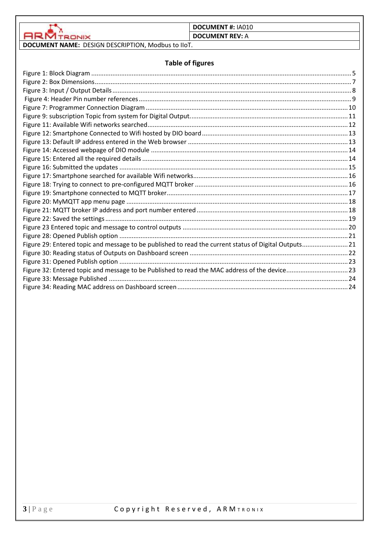

**DOCUMENT REV: A** 

# **DOCUMENT NAME:** DESIGN DESCRIPTION, Modbus to IIoT.

## **Table of figures**

| Figure 29: Entered topic and message to be published to read the current status of Digital Outputs21 |  |
|------------------------------------------------------------------------------------------------------|--|
|                                                                                                      |  |
|                                                                                                      |  |
| Figure 32: Entered topic and message to be Published to read the MAC address of the device23         |  |
|                                                                                                      |  |
|                                                                                                      |  |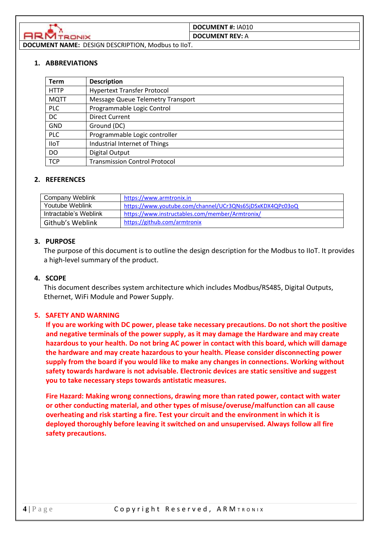

#### <span id="page-3-0"></span>**1. ABBREVIATIONS**

| <b>Term</b> | <b>Description</b>                       |
|-------------|------------------------------------------|
| <b>HTTP</b> | <b>Hypertext Transfer Protocol</b>       |
| <b>MQTT</b> | <b>Message Queue Telemetry Transport</b> |
| <b>PLC</b>  | Programmable Logic Control               |
| DC          | <b>Direct Current</b>                    |
| <b>GND</b>  | Ground (DC)                              |
| <b>PLC</b>  | Programmable Logic controller            |
| <b>IIoT</b> | Industrial Internet of Things            |
| <b>DO</b>   | Digital Output                           |
| <b>TCP</b>  | <b>Transmission Control Protocol</b>     |

#### <span id="page-3-1"></span>**2. REFERENCES**

| <b>Company Weblink</b> | https://www.armtronix.in                                 |
|------------------------|----------------------------------------------------------|
| Youtube Weblink        | https://www.youtube.com/channel/UCr3QNs65jDSxKDX4QPc03oQ |
| Intractable's Weblink  | https://www.instructables.com/member/Armtronix/          |
| Github's Weblink       | https://github.com/armtronix                             |

#### <span id="page-3-2"></span>**3. PURPOSE**

The purpose of this document is to outline the design description for the Modbus to IIoT. It provides a high-level summary of the product.

#### <span id="page-3-3"></span>**4. SCOPE**

This document describes system architecture which includes Modbus/RS485, Digital Outputs, Ethernet, WiFi Module and Power Supply.

#### <span id="page-3-4"></span>**5. SAFETY AND WARNING**

**If you are working with DC power, please take necessary precautions. Do not short the positive and negative terminals of the power supply, as it may damage the Hardware and may create hazardous to your health. Do not bring AC power in contact with this board, which will damage the hardware and may create hazardous to your health. Please consider disconnecting power supply from the board if you would like to make any changes in connections. Working without safety towards hardware is not advisable. Electronic devices are static sensitive and suggest you to take necessary steps towards antistatic measures.**

**Fire Hazard: Making wrong connections, drawing more than rated power, contact with water or other conducting material, and other types of misuse/overuse/malfunction can all cause overheating and risk starting a fire. Test your circuit and the environment in which it is deployed thoroughly before leaving it switched on and unsupervised. Always follow all fire safety precautions.**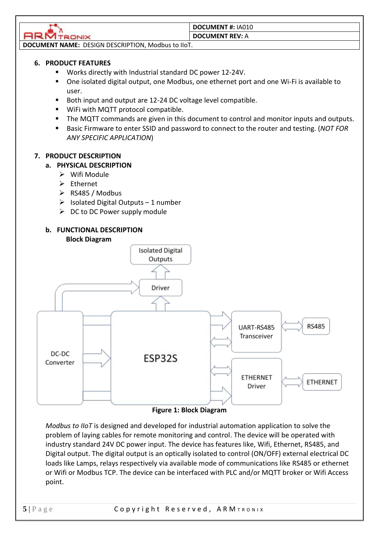MTRONIX

# **DOCUMENT #:** IA010

### **DOCUMENT REV:** A

**DOCUMENT NAME:** DESIGN DESCRIPTION, Modbus to IIoT.

## <span id="page-4-0"></span>**6. PRODUCT FEATURES**

- Works directly with Industrial standard DC power 12-24V.
- One isolated digital output, one Modbus, one ethernet port and one Wi-Fi is available to user.
- Both input and output are 12-24 DC voltage level compatible.
- WiFi with MQTT protocol compatible.
- The MQTT commands are given in this document to control and monitor inputs and outputs.
- Basic Firmware to enter SSID and password to connect to the router and testing. (*NOT FOR ANY SPECIFIC APPLICATION*)

## <span id="page-4-2"></span><span id="page-4-1"></span>**7. PRODUCT DESCRIPTION**

## **a. PHYSICAL DESCRIPTION**

- ➢ Wifi Module
- ➢ Ethernet
- ➢ RS485 / Modbus
- $\triangleright$  Isolated Digital Outputs 1 number
- $\triangleright$  DC to DC Power supply module

# **b. FUNCTIONAL DESCRIPTION**

<span id="page-4-3"></span>

#### **Figure 1: Block Diagram**

<span id="page-4-4"></span>*Modbus to IIoT* is designed and developed for industrial automation application to solve the problem of laying cables for remote monitoring and control. The device will be operated with industry standard 24V DC power input. The device has features like, Wifi, Ethernet, RS485, and Digital output. The digital output is an optically isolated to control (ON/OFF) external electrical DC loads like Lamps, relays respectively via available mode of communications like RS485 or ethernet or Wifi or Modbus TCP. The device can be interfaced with PLC and/or MQTT broker or Wifi Access point.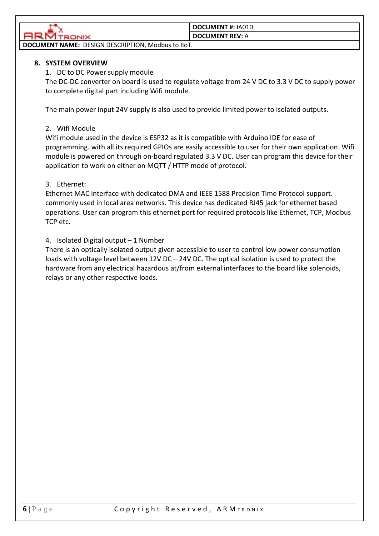

#### **DOCUMENT REV:** A

**DOCUMENT NAME:** DESIGN DESCRIPTION, Modbus to IIoT.

### <span id="page-5-0"></span>**8. SYSTEM OVERVIEW**

1. DC to DC Power supply module

The DC-DC converter on board is used to regulate voltage from 24 V DC to 3.3 V DC to supply power to complete digital part including Wifi module.

The main power input 24V supply is also used to provide limited power to isolated outputs.

### 2. Wifi Module

Wifi module used in the device is ESP32 as it is compatible with Arduino IDE for ease of programming. with all its required GPIOs are easily accessible to user for their own application. Wifi module is powered on through on-board regulated 3.3 V DC. User can program this device for their application to work on either on MQTT / HTTP mode of protocol.

## 3. Ethernet:

[Ethernet](https://en.wikipedia.org/wiki/Ethernet) MAC interface with dedicated DMA and [IEEE 1588 Precision Time Protocol](https://en.wikipedia.org/wiki/Precision_Time_Protocol) support. commonly used in [local area networks.](https://en.wikipedia.org/wiki/Local_area_network) This device has dedicated RJ45 jack for ethernet based operations. User can program this ethernet port for required protocols like Ethernet, TCP, Modbus TCP etc.

4. Isolated Digital output – 1 Number

There is an optically isolated output given accessible to user to control low power consumption loads with voltage level between 12V DC – 24V DC. The optical isolation is used to protect the hardware from any electrical hazardous at/from external interfaces to the board like solenoids, relays or any other respective loads.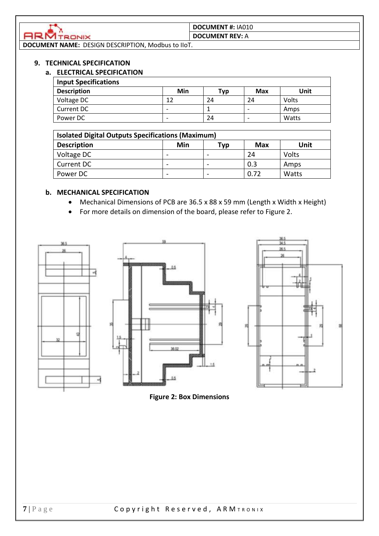

#### **DOCUMENT #:** IA010 **DOCUMENT REV:** A

**DOCUMENT NAME:** DESIGN DESCRIPTION, Modbus to IIoT.

### <span id="page-6-1"></span><span id="page-6-0"></span>**9. TECHNICAL SPECIFICATION**

### **a. ELECTRICAL SPECIFICATION**

| <b>Input Specifications</b> |                          |     |     |       |
|-----------------------------|--------------------------|-----|-----|-------|
| <b>Description</b>          | Min                      | Typ | Max | Unit  |
| Voltage DC                  | 17                       | 24  | 24  | Volts |
| Current DC                  | ۰                        |     |     | Amps  |
| Power DC                    | $\overline{\phantom{0}}$ | 24  |     | Watts |

| <b>Isolated Digital Outputs Specifications (Maximum)</b> |     |     |            |       |  |
|----------------------------------------------------------|-----|-----|------------|-------|--|
| <b>Description</b>                                       | Min | Тур | <b>Max</b> | Unit  |  |
| Voltage DC                                               |     |     | 24         | Volts |  |
| Current DC                                               |     |     | 0.3        | Amps  |  |
| Power DC                                                 |     |     | 0.72       | Watts |  |

## <span id="page-6-2"></span>**b. MECHANICAL SPECIFICATION**

- Mechanical Dimensions of PCB are 36.5 x 88 x 59 mm (Length x Width x Height)
- For more details on dimension of the board, please refer to Figure 2.





<span id="page-6-3"></span>**Figure 2: Box Dimensions**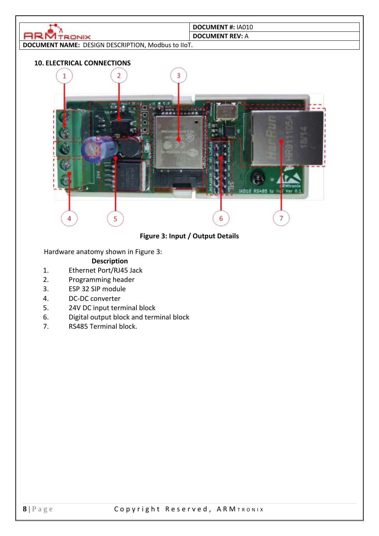<span id="page-7-0"></span>

## **Figure 3: Input / Output Details**

<span id="page-7-1"></span>Hardware anatomy shown in Figure 3:

### **Description**

- 1. Ethernet Port/RJ45 Jack
- 2. Programming header
- 3. ESP 32 SIP module
- 4. DC-DC converter
- 5. 24V DC input terminal block
- 6. Digital output block and terminal block
- 7. RS485 Terminal block.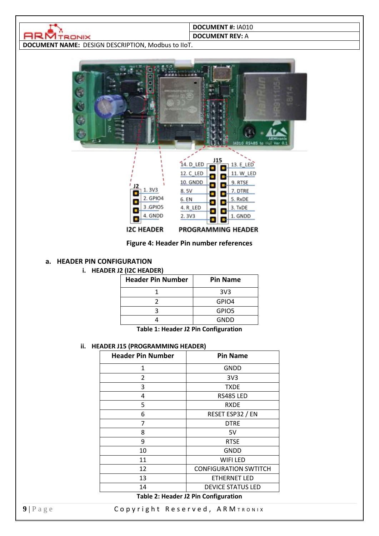

#### **DOCUMENT REV:** A

<span id="page-8-3"></span>**DOCUMENT NAME:** DESIGN DESCRIPTION, Modbus to IIoT.





# PROGRAMMING HEADER

#### **Figure 4: Header Pin number references**

#### <span id="page-8-1"></span><span id="page-8-0"></span>**a. HEADER PIN CONFIGURATION**

**i. HEADER J2 (I2C HEADER)**

| <b>Header Pin Number</b> | <b>Pin Name</b> |
|--------------------------|-----------------|
|                          | 3V <sub>3</sub> |
|                          | GPIO4           |
|                          | GPIO5           |
|                          | GNDD            |

**Table 1: Header J2 Pin Configuration**

#### <span id="page-8-2"></span>**ii. HEADER J15 (PROGRAMMING HEADER)**

| <b>GNDD</b>                          |
|--------------------------------------|
| 3V <sub>3</sub>                      |
| <b>TXDE</b>                          |
| <b>RS485 LED</b>                     |
| <b>RXDE</b>                          |
| RESET ESP32 / EN                     |
| <b>DTRE</b>                          |
| 5V                                   |
| <b>RTSE</b>                          |
| <b>GNDD</b>                          |
| WIFI LED                             |
| <b>CONFIGURATION SWTITCH</b>         |
| <b>ETHERNET LED</b>                  |
| <b>DEVICE STATUS LED</b>             |
| Tekle 3. Header 13 Bin Configuration |

#### **Table 2: Header J2 Pin Configuration**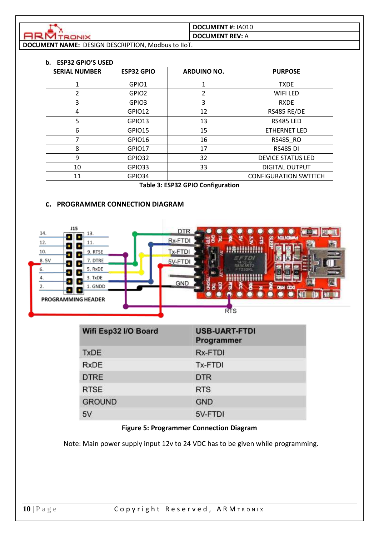

**DOCUMENT REV:** A

<span id="page-9-0"></span>**DOCUMENT NAME:** DESIGN DESCRIPTION, Modbus to IIoT.

#### **b. ESP32 GPIO'S USED**

| <b>SERIAL NUMBER</b> | <b>ESP32 GPIO</b> | <b>ARDUINO NO.</b> | <b>PURPOSE</b>               |
|----------------------|-------------------|--------------------|------------------------------|
|                      | GPIO1             |                    | <b>TXDE</b>                  |
| 2                    | GPIO <sub>2</sub> | 2                  | WIFI LED                     |
| 3                    | GPIO3             | 3                  | <b>RXDE</b>                  |
| 4                    | GPIO12            | 12                 | RS485 RE/DE                  |
| 5                    | GPIO13            | 13                 | <b>RS485 LED</b>             |
| 6                    | GPIO15            | 15                 | <b>ETHERNET LED</b>          |
|                      | GPIO16            | 16                 | RS485_RO                     |
| 8                    | GPIO17            | 17                 | <b>RS485 DI</b>              |
| 9                    | GPIO32            | 32                 | <b>DEVICE STATUS LED</b>     |
| 10                   | GPIO33            | 33                 | <b>DIGITAL OUTPUT</b>        |
| 11                   | GPIO34            |                    | <b>CONFIGURATION SWTITCH</b> |

#### **Table 3: ESP32 GPIO Configuration**

## **c. PROGRAMMER CONNECTION DIAGRAM**

<span id="page-9-1"></span>

| Wifi Esp32 I/O Board | <b>USB-UART-FTDI</b><br>Programmer |  |
|----------------------|------------------------------------|--|
| <b>TxDE</b>          | <b>Rx-FTDI</b>                     |  |
| <b>RxDE</b>          | Tx-FTDI                            |  |
| <b>DTRE</b>          | <b>DTR</b>                         |  |
| <b>RTSE</b>          | <b>RTS</b>                         |  |
| <b>GROUND</b>        | <b>GND</b>                         |  |
| 5V                   | 5V-FTDI                            |  |

#### **Figure 5: Programmer Connection Diagram**

<span id="page-9-2"></span>Note: Main power supply input 12v to 24 VDC has to be given while programming.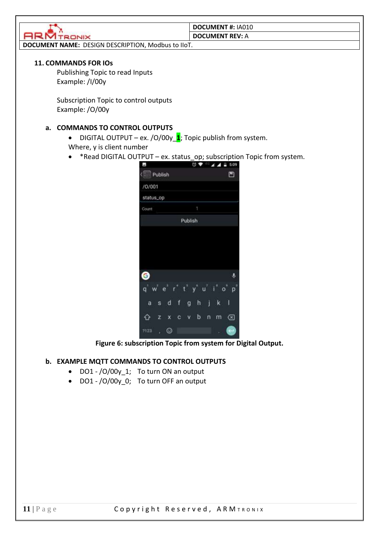

**DOCUMENT #:** IA010 **DOCUMENT REV:** A

**DOCUMENT NAME:** DESIGN DESCRIPTION, Modbus to IIoT.

#### <span id="page-10-0"></span>**11. COMMANDS FOR IOs**

Publishing Topic to read Inputs Example: /I/00y

Subscription Topic to control outputs Example: /O/00y

#### <span id="page-10-1"></span>**a. COMMANDS TO CONTROL OUTPUTS**

- DIGITAL OUTPUT ex. /O/00y\_**1**; Topic publish from system. Where, y is client number
- \*Read DIGITAL OUTPUT ex. status\_op; subscription Topic from system.

| ä.                        |                   | Ø      | 5:09                                     |
|---------------------------|-------------------|--------|------------------------------------------|
| Publish<br>$\binom{m}{m}$ |                   |        | ⊡                                        |
| /0/001                    |                   |        |                                          |
| status_op                 |                   |        |                                          |
| Count                     |                   | 1      |                                          |
|                           | Publish           |        |                                          |
|                           |                   |        |                                          |
|                           |                   |        |                                          |
|                           |                   |        |                                          |
|                           |                   |        |                                          |
| G                         |                   |        | $\ddot{\phantom{a}}$                     |
| p<br>q'<br>ë              | $t^{\frac{1}{2}}$ |        | U<br>Y<br>1 <sub>u</sub><br>$\circ$<br>p |
| d<br>a<br>s               | f<br>ġ            | h<br>ĵ | I<br>k                                   |
| ↷<br>z<br>x               | c<br>v            | b<br>n | ख़<br>m                                  |
| ☺<br>7123<br>ï            |                   |        | ı                                        |

**Figure 6: subscription Topic from system for Digital Output.**

### <span id="page-10-3"></span><span id="page-10-2"></span>**b. EXAMPLE MQTT COMMANDS TO CONTROL OUTPUTS**

- DO1 /O/00y\_1; To turn ON an output
- DO1 /O/00y 0; To turn OFF an output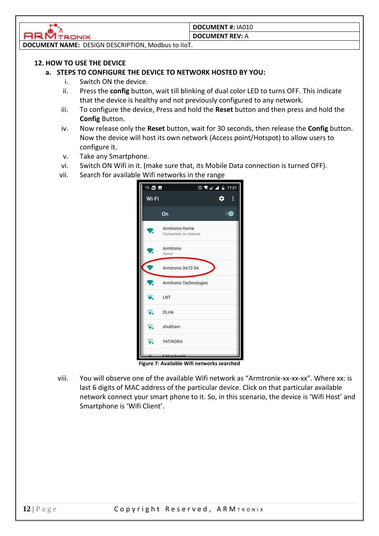

#### **DOCUMENT REV:** A

**DOCUMENT NAME:** DESIGN DESCRIPTION, Modbus to IIoT.

### <span id="page-11-1"></span><span id="page-11-0"></span>**12. HOW TO USE THE DEVICE**

#### **a. STEPS TO CONFIGURE THE DEVICE TO NETWORK HOSTED BY YOU:**

- i. Switch ON the device.
- ii. Press the **config** button, wait till blinking of dual color LED to turns OFF. This indicate that the device is healthy and not previously configured to any network.
- iii. To configure the device, Press and hold the **Reset** button and then press and hold the **Config** Button.
- iv. Now release only the **Reset** button, wait for 30 seconds, then release the **Config** button. Now the device will host its own network (Access point/Hotspot) to allow users to configure it.
- v. Take any Smartphone.
- vi. Switch ON Wifi in it. (make sure that, its Mobile Data connection is turned OFF).
- vii. Search for available Wifi networks in the range

<span id="page-11-2"></span>

viii. You will observe one of the available Wifi network as "Armtronix-xx-xx-xx". Where xx: is last 6 digits of MAC address of the particular device. Click on that particular available network connect your smart phone to it. So, in this scenario, the device is 'Wifi Host' and Smartphone is 'Wifi Client'.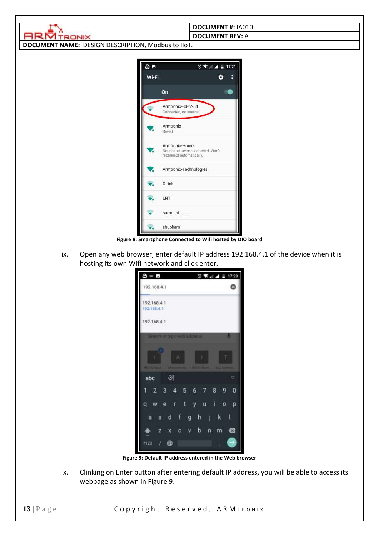|                                                    | <b>DOCUMENT #: IA010</b>           |  |
|----------------------------------------------------|------------------------------------|--|
| <b>ATRONIX</b>                                     | <b>DOCUMENT REV: A</b>             |  |
|                                                    |                                    |  |
| DOCUMENT NAME: DESIGN DESCRIPTION, Modbus to IIoT. |                                    |  |
|                                                    |                                    |  |
| 3 <sub>5</sub>                                     | $0$ $A = 17:21$                    |  |
|                                                    |                                    |  |
| Wi-Fi                                              | ۰                                  |  |
|                                                    |                                    |  |
|                                                    | On                                 |  |
|                                                    | Armtronix-3d-f2-54                 |  |
|                                                    | Connected, no Internet             |  |
|                                                    |                                    |  |
|                                                    | Armtronix                          |  |
|                                                    | Saved                              |  |
|                                                    | Armtronix-Home                     |  |
|                                                    | No Internet access detected. Won't |  |
|                                                    | reconnect automatically.           |  |
|                                                    | Armtronix-Technologies             |  |
|                                                    |                                    |  |
|                                                    | <b>DLink</b>                       |  |
|                                                    |                                    |  |
|                                                    | LNT                                |  |
|                                                    |                                    |  |
|                                                    | sammed                             |  |
|                                                    | chubbam                            |  |

**Figure 8: Smartphone Connected to Wifi hosted by DIO board**

<span id="page-12-0"></span>ix. Open any web browser, enter default IP address 192.168.4.1 of the device when it is hosting its own Wifi network and click enter.

| $\mathbf{S} = \mathbf{E}$                       | ◎ ● 4 ▲ 17:23                            |
|-------------------------------------------------|------------------------------------------|
| 192.168.4.1                                     |                                          |
| 192.168.4.1<br>192,168.4.1                      |                                          |
| 192.168.4.1                                     |                                          |
| Search of type web address                      | u                                        |
| <b>Ultima Agent</b><br><b>RAMANIST THE TEXT</b> | <b>River and Then</b><br><b>PERSONAL</b> |
| अ<br>abc                                        | v                                        |
| 3<br>- 5<br>1<br>$\mathbf{2}$<br>л              | 8<br>$6\phantom{.}6$<br>7<br>0           |
| e<br>t<br>г<br>a                                | ī<br>u<br>o<br>D<br>۷                    |
| d<br>f<br>š<br>a                                | İ<br>h<br>k<br>g                         |
| z<br>c<br>x                                     | ø<br>b<br>n<br>m                         |
| 7123                                            |                                          |

**Figure 9: Default IP address entered in the Web browser**

<span id="page-12-1"></span>x. Clinking on Enter button after entering default IP address, you will be able to access its webpage as shown in Figure 9.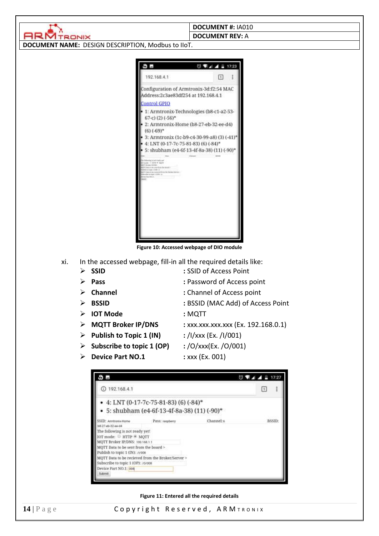|        | <b>DOCUMENT #: IA010</b>                                                                                                                                                                                                                                       |
|--------|----------------------------------------------------------------------------------------------------------------------------------------------------------------------------------------------------------------------------------------------------------------|
| TRONIX | <b>DOCUMENT REV: A</b>                                                                                                                                                                                                                                         |
|        | DOCUMENT NAME: DESIGN DESCRIPTION, Modbus to IIoT.                                                                                                                                                                                                             |
|        |                                                                                                                                                                                                                                                                |
|        | ◎ ▼ 4 4 日 17:23<br>9 H                                                                                                                                                                                                                                         |
|        | 192168.4.1<br>$\boxed{1}$                                                                                                                                                                                                                                      |
|        | Configuration of Armtronix-3d:f2:54 MAC<br>Address:2c3ae83df254 at 192.168.4.1                                                                                                                                                                                 |
|        | <b>Control GPIO</b>                                                                                                                                                                                                                                            |
|        | 1: Armtronix-Technologies (b8-c1-a2-53-<br>67-c) (2) $(-56)$ <sup>*</sup>                                                                                                                                                                                      |
|        | 2: Armtronix-Home (b8-27-eb-32-ee-d4)<br>$(6)$ $(-69)$ <sup>*</sup>                                                                                                                                                                                            |
|        | 3: Armtronix (1c-b9-c4-30-99-a8) (3) (-41)*<br>4: LNT (0-17-7c-75-81-83) (6) (-84)*                                                                                                                                                                            |
|        | 5: shubham (e4-6f-13-4f-8a-38) (11) (-90)*                                                                                                                                                                                                                     |
|        | University to built exactly sell.<br>County, 11 2022 9: 16227.<br><b>COLORADO STATISTICS</b><br>China which you minimize<br>03/10/2012 12:00:50<br>(71 Dates Grike twicowed Britis the Besike Auklas) (<br>an allen in August 1: 1979 (etc.)<br>andred Britain |

**Figure 10: Accessed webpage of DIO module** 

- <span id="page-13-0"></span>xi. In the accessed webpage, fill-in all the required details like:
	-
	- ➢ **SSID :** SSID of Access Point
	-
	-
	-
	- ➢ **IOT Mode :** MQTT
	-
	- ➢ **Publish to Topic 1 (IN) :** /I/xxx (Ex. /I/001)
	- ➢ **Subscribe to topic 1 (OP) :** /O/xxx(Ex. /O/001)
	- ➢ **Device Part NO.1 :** xxx (Ex. 001)
- 
- ➢ **Pass :** Password of Access point
- ➢ **Channel :** Channel of Access point
- ➢ **BSSID :** BSSID (MAC Add) of Access Point
	-
- ➢ **MQTT Broker IP/DNS :** xxx.xxx.xxx.xxx (Ex. 192.168.0.1)
	-
	-
	-



<span id="page-13-1"></span>**Figure 11: Entered all the required details**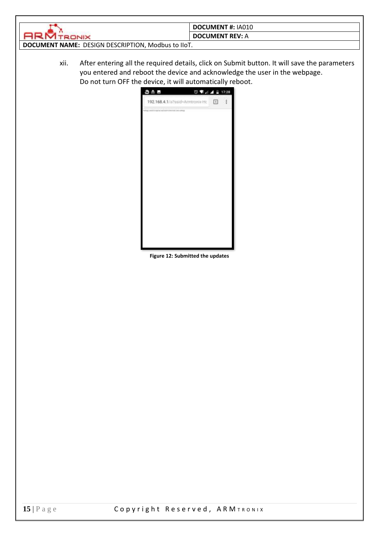|                                                    | <b>DOCUMENT #: IA010</b> |  |
|----------------------------------------------------|--------------------------|--|
|                                                    | <b>DOCUMENT REV: A</b>   |  |
| DOCUMENT NAME: DESIGN DESCRIPTION, Modbus to IIoT. |                          |  |

<span id="page-14-0"></span>xii. After entering all the required details, click on Submit button. It will save the parameters you entered and reboot the device and acknowledge the user in the webpage. Do not turn OFF the device, it will automatically reboot.



**Figure 12: Submitted the updates**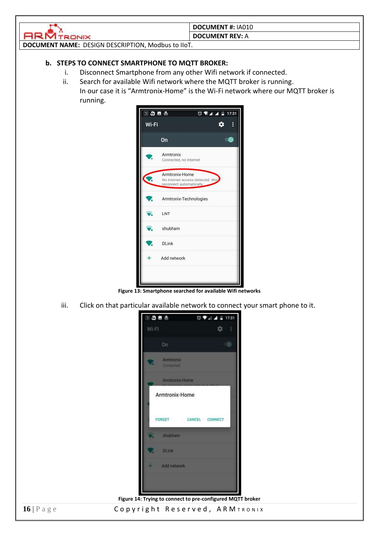

#### **DOCUMENT REV:** A

<span id="page-15-0"></span>**DOCUMENT NAME:** DESIGN DESCRIPTION, Modbus to IIoT.

## **b. STEPS TO CONNECT SMARTPHONE TO MQTT BROKER:**

- i. Disconnect Smartphone from any other Wifi network if connected.
- ii. Search for available Wifi network where the MQTT broker is running. In our case it is "Armtronix-Home" is the Wi-Fi network where our MQTT broker is running.



<span id="page-15-1"></span>iii. Click on that particular available network to connect your smart phone to it.



<span id="page-15-2"></span>**16** | Page **Copyright Reserved, ARM TRONIX**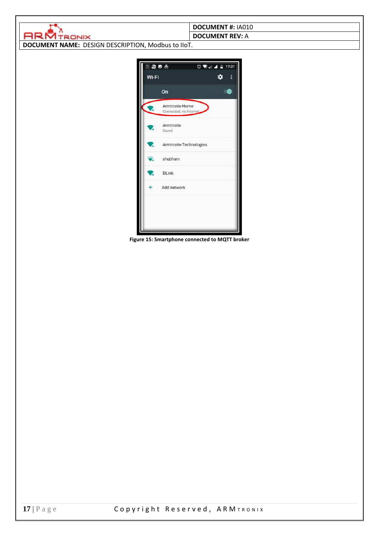|                                                    | <b>DOCUMENT #: IA010</b>                    |
|----------------------------------------------------|---------------------------------------------|
| <b>RIM TRONIX</b>                                  | <b>DOCUMENT REV: A</b>                      |
| DOCUMENT NAME: DESIGN DESCRIPTION, Modbus to IIoT. |                                             |
|                                                    |                                             |
|                                                    |                                             |
| 13.5 <sub>5</sub>                                  | $\overline{0}$ Will $\overline{4}$ in 17:31 |
| Wi-Fi                                              | ۰                                           |
|                                                    |                                             |
| On                                                 |                                             |
| Armtronix-Home                                     |                                             |
| Connected, no Interna                              |                                             |
|                                                    |                                             |
| Armtronix<br>Saved                                 |                                             |
|                                                    |                                             |
|                                                    | Armtronix-Technologies                      |
| shubham                                            |                                             |
|                                                    |                                             |
| <b>DLink</b><br>v                                  |                                             |
|                                                    |                                             |
| Add network<br>÷                                   |                                             |
|                                                    |                                             |
|                                                    |                                             |
|                                                    |                                             |
|                                                    |                                             |
|                                                    |                                             |

<span id="page-16-0"></span>**Figure 15: Smartphone connected to MQTT broker**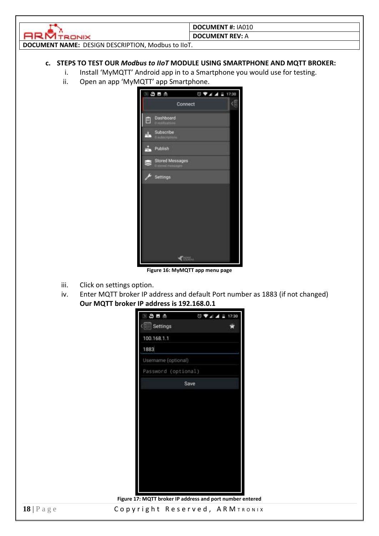

**DOCUMENT REV:** A

<span id="page-17-0"></span>**DOCUMENT NAME:** DESIGN DESCRIPTION, Modbus to IIoT.

### **c. STEPS TO TEST OUR** *Modbus to IIoT* **MODULE USING SMARTPHONE AND MQTT BROKER:**

- i. Install 'MyMQTT' Android app in to a Smartphone you would use for testing.
- ii. Open an app 'MyMQTT' app Smartphone.



**Figure 16: MyMQTT app menu page**

- <span id="page-17-1"></span>iii. Click on settings option.
- iv. Enter MQTT broker IP address and default Port number as 1883 (if not changed) **Our MQTT broker IP address is 192.168.0.1**



**Figure 17: MQTT broker IP address and port number entered**

<span id="page-17-2"></span>**18** | Page **Copyright Reserved, ARM TRONIX**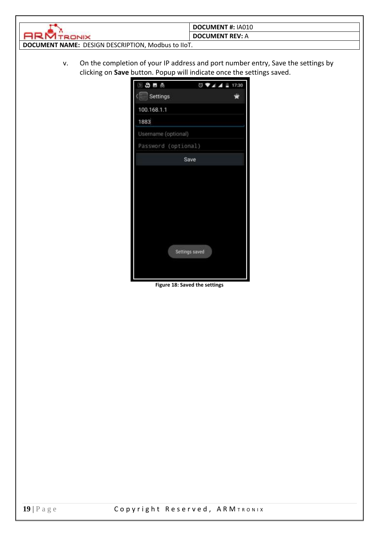|                                                           | <b>DOCUMENT #: IA010</b> |  |
|-----------------------------------------------------------|--------------------------|--|
|                                                           | DOCUMENT REV: A          |  |
| <b>DOCUMENT NAME: DESIGN DESCRIPTION, Modbus to IIoT.</b> |                          |  |

v. On the completion of your IP address and port number entry, Save the settings by clicking on **Save** button. Popup will indicate once the settings saved.

| 国的国品                | ◎ ♥ ▲ ▲ ■ 17:30 |   |
|---------------------|-----------------|---|
| (Figure Settings    |                 | s |
| 100.168.1.1         |                 |   |
| 1883                |                 |   |
| Username (optional) |                 |   |
| Password (optional) |                 |   |
| Save                |                 |   |
| Settings saved      |                 |   |

<span id="page-18-0"></span>**Figure 18: Saved the settings**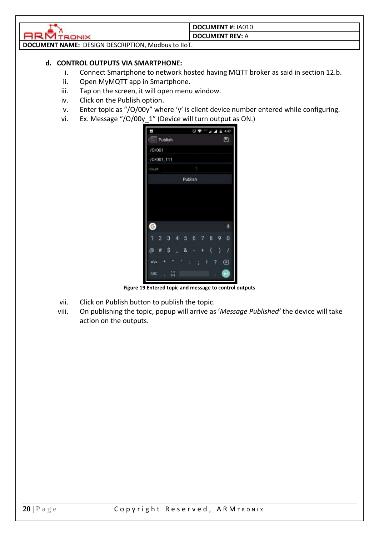

#### **DOCUMENT REV:** A

<span id="page-19-0"></span>**DOCUMENT NAME:** DESIGN DESCRIPTION, Modbus to IIoT.

### **d. CONTROL OUTPUTS VIA SMARTPHONE:**

- i. Connect Smartphone to network hosted having MQTT broker as said in section 12.b.
- ii. Open MyMQTT app in Smartphone.
- iii. Tap on the screen, it will open menu window.
- iv. Click on the Publish option.
- v. Enter topic as "/O/00y" where 'y' is client device number entered while configuring.
- vi. Ex. Message "/O/00y\_1" (Device will turn output as ON.)

| E          |                     |         | $07 - 111$ | 4:47   |
|------------|---------------------|---------|------------|--------|
| Publish    |                     |         |            | е      |
| /0/001     |                     |         |            |        |
| /0/001_111 |                     |         |            |        |
| Count      |                     | ŧ       |            |        |
|            |                     | Publish |            |        |
|            |                     |         |            |        |
|            |                     |         |            |        |
|            |                     |         |            |        |
|            |                     |         |            |        |
| ❺          |                     |         |            | ٤      |
| 2<br>1     | з<br>$\overline{A}$ | 5<br>6  | 8          | 9<br>o |
| @<br>推     | \$                  | 8       | (          | )      |
| $=k$       | ٠                   |         | ļ          | ∞<br>? |
| ABC<br>n,  | $rac{1}{34}$        |         |            |        |

**Figure 19 Entered topic and message to control outputs**

- <span id="page-19-1"></span>vii. Click on Publish button to publish the topic.
- viii. On publishing the topic, popup will arrive as '*Message Published'* the device will take action on the outputs.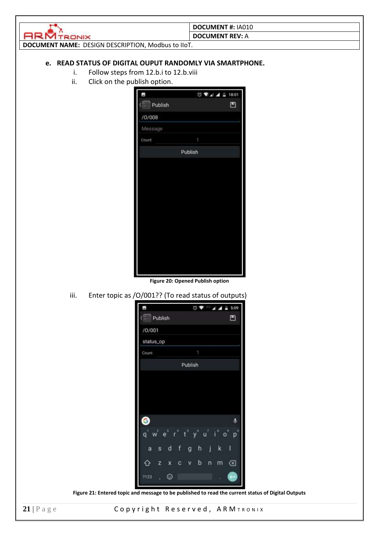|                                                           | DOCUMENT#: IA010       |
|-----------------------------------------------------------|------------------------|
|                                                           | <b>DOCUMENT REV: A</b> |
| <b>DOCUMENT NAME: DESIGN DESCRIPTION, Modbus to IIoT.</b> |                        |
|                                                           |                        |

### <span id="page-20-0"></span>**e. READ STATUS OF DIGITAL OUPUT RANDOMLY VIA SMARTPHONE.**

- i. Follow steps from 12.b.i to 12.b.viii
- ii. Click on the publish option.

| J,      | $0$ $44 = 18.01$ |
|---------|------------------|
| Publish | 凹                |
| /0/008  |                  |
| Message |                  |
| Count   | Ţ                |
|         | Publish          |
|         |                  |
|         |                  |
|         |                  |
|         |                  |
|         |                  |
|         |                  |
|         |                  |
|         |                  |
|         |                  |
|         |                  |

**Figure 20: Opened Publish option**

<span id="page-20-1"></span>iii. Enter topic as /O/001?? (To read status of outputs)

| E.                     |        |               | $\begin{array}{c} \nabla \cdot \mathbf{V} & \mathbf{A} \cdot \mathbf{A} \cdot \mathbf{B} \nabla \cdot \mathbf{A} \cdot \mathbf{A} \cdot \mathbf{A} \cdot \mathbf{A} \cdot \mathbf{A} \cdot \mathbf{A} \cdot \mathbf{A} \cdot \mathbf{A} \cdot \mathbf{A} \cdot \mathbf{A} \cdot \mathbf{A} \cdot \mathbf{A} \cdot \mathbf{A} \cdot \mathbf{A} \cdot \mathbf{A} \cdot \mathbf{A} \cdot \mathbf{A} \cdot \mathbf{A} \cdot \mathbf{A} \cdot \mathbf{A} \cdot \mathbf{A} \cdot \mathbf{$ | 5:09                                              |
|------------------------|--------|---------------|--------------------------------------------------------------------------------------------------------------------------------------------------------------------------------------------------------------------------------------------------------------------------------------------------------------------------------------------------------------------------------------------------------------------------------------------------------------------------------------|---------------------------------------------------|
| ( <b>Mill</b> Publish  |        |               |                                                                                                                                                                                                                                                                                                                                                                                                                                                                                      | ⊡                                                 |
| /0/001                 |        |               |                                                                                                                                                                                                                                                                                                                                                                                                                                                                                      |                                                   |
| status_op              |        |               |                                                                                                                                                                                                                                                                                                                                                                                                                                                                                      |                                                   |
| Count                  |        | 1             |                                                                                                                                                                                                                                                                                                                                                                                                                                                                                      |                                                   |
|                        |        | Publish       |                                                                                                                                                                                                                                                                                                                                                                                                                                                                                      |                                                   |
|                        |        |               |                                                                                                                                                                                                                                                                                                                                                                                                                                                                                      |                                                   |
|                        |        |               |                                                                                                                                                                                                                                                                                                                                                                                                                                                                                      |                                                   |
|                        |        |               |                                                                                                                                                                                                                                                                                                                                                                                                                                                                                      |                                                   |
|                        |        |               |                                                                                                                                                                                                                                                                                                                                                                                                                                                                                      |                                                   |
| G                      |        |               |                                                                                                                                                                                                                                                                                                                                                                                                                                                                                      | ۹                                                 |
| $\mathsf{q}^{\dagger}$ | n<br>ë | $t^{\dagger}$ | $\mathbf{I}^{\mathbf{m}}$                                                                                                                                                                                                                                                                                                                                                                                                                                                            | $\mathbf{p}^{\mathbf{0}}$<br>$\circ$ <sup>1</sup> |
| a<br>š                 | f<br>d | h<br>g        | J<br>k                                                                                                                                                                                                                                                                                                                                                                                                                                                                               | I                                                 |
| z<br>69                | x<br>c | b<br>٧        | n<br>m                                                                                                                                                                                                                                                                                                                                                                                                                                                                               | ∞                                                 |
| 7123<br>ï              | ☺      |               | ï                                                                                                                                                                                                                                                                                                                                                                                                                                                                                    |                                                   |

**Figure 21: Entered topic and message to be published to read the current status of Digital Outputs**

<span id="page-20-2"></span>21 | Page Copyright Reserved, ARM TRONIX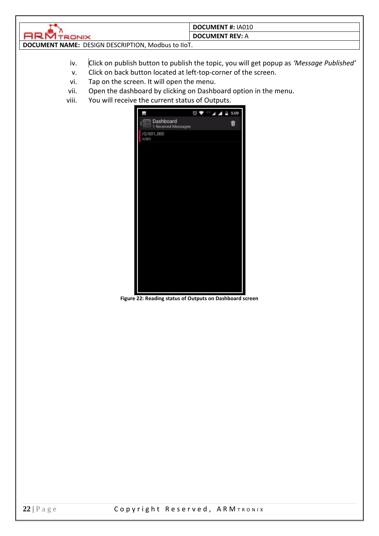

#### **DOCUMENT REV:** A

**DOCUMENT NAME:** DESIGN DESCRIPTION, Modbus to IIoT.

- iv. Click on publish button to publish the topic, you will get popup as *'Message Published'*
- v. Click on back button located at left-top-corner of the screen.
- vi. Tap on the screen. It will open the menu.
- vii. Open the dashboard by clicking on Dashboard option in the menu.
- viii. You will receive the current status of Outputs.



<span id="page-21-0"></span>**Figure 22: Reading status of Outputs on Dashboard screen**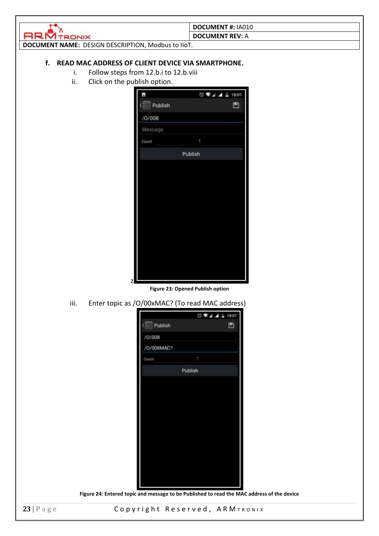<span id="page-22-0"></span>

|                                                         | <b>DOCUMENT #: IA010</b> |  |  |  |
|---------------------------------------------------------|--------------------------|--|--|--|
| TRONIX                                                  | <b>DOCUMENT REV: A</b>   |  |  |  |
| DOCUMENT NAME: DESIGN DESCRIPTION, Modbus to IIoT.      |                          |  |  |  |
|                                                         |                          |  |  |  |
| f.<br>READ MAC ADDRESS OF CLIENT DEVICE VIA SMARTPHONE. |                          |  |  |  |
| Follow steps from 12.b.i to 12.b.viii<br>i.             |                          |  |  |  |
| ii.<br>Click on the publish option.                     |                          |  |  |  |
|                                                         | ◎ ▼⊿ ▲ 18:01             |  |  |  |
|                                                         |                          |  |  |  |
| Publish                                                 | ு                        |  |  |  |
| /0/008                                                  |                          |  |  |  |
| Message                                                 |                          |  |  |  |
| Count                                                   |                          |  |  |  |
|                                                         | Publish                  |  |  |  |
|                                                         |                          |  |  |  |
|                                                         |                          |  |  |  |
|                                                         |                          |  |  |  |
|                                                         |                          |  |  |  |
|                                                         |                          |  |  |  |
|                                                         |                          |  |  |  |
|                                                         |                          |  |  |  |
|                                                         |                          |  |  |  |
|                                                         |                          |  |  |  |
|                                                         |                          |  |  |  |

**Figure 23: Opened Publish option**

<span id="page-22-1"></span>iii. Enter topic as /O/00xMAC? (To read MAC address)

z

|            |  | ◎ ▼ 4 4 18:07 |  |  |
|------------|--|---------------|--|--|
| Publish    |  | 凹             |  |  |
| /0/008     |  |               |  |  |
| /0/008MAC? |  |               |  |  |
| Count      |  |               |  |  |
| Publish    |  |               |  |  |
|            |  |               |  |  |
|            |  |               |  |  |
|            |  |               |  |  |
|            |  |               |  |  |
|            |  |               |  |  |
|            |  |               |  |  |
|            |  |               |  |  |
|            |  |               |  |  |
|            |  |               |  |  |
|            |  |               |  |  |
|            |  |               |  |  |

<span id="page-22-2"></span>**Figure 24: Entered topic and message to be Published to read the MAC address of the device**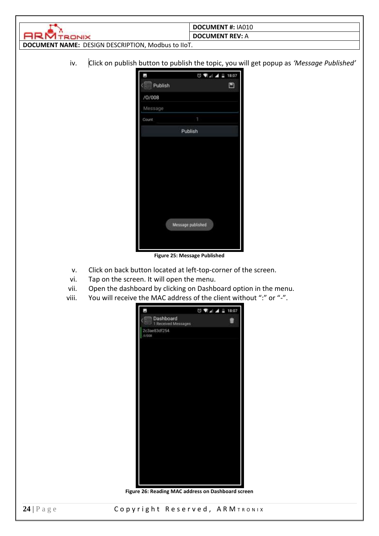|                                                    | <b>DOCUMENT #: IA010</b> |
|----------------------------------------------------|--------------------------|
|                                                    | <b>DOCUMENT REV: A</b>   |
| DOCUMENT NAME: DESIGN DESCRIPTION, Modbus to IIoT. |                          |

iv. Click on publish button to publish the topic, you will get popup as *'Message Published'*

| Е         | ◎ ▼』▲ ■ 18:07     |   |  |  |
|-----------|-------------------|---|--|--|
| ( Publish |                   | ு |  |  |
| /0/008    |                   |   |  |  |
| Message   |                   |   |  |  |
| Count     | 1                 |   |  |  |
| Publish   |                   |   |  |  |
|           |                   |   |  |  |
|           |                   |   |  |  |
|           |                   |   |  |  |
|           |                   |   |  |  |
|           |                   |   |  |  |
|           |                   |   |  |  |
|           |                   |   |  |  |
|           | Message published |   |  |  |
|           |                   |   |  |  |
|           |                   |   |  |  |

**Figure 25: Message Published**

- <span id="page-23-0"></span>v. Click on back button located at left-top-corner of the screen.
- vi. Tap on the screen. It will open the menu.
- vii. Open the dashboard by clicking on Dashboard option in the menu.
- <span id="page-23-1"></span>viii. You will receive the MAC address of the client without ":" or "-".



**Figure 26: Reading MAC address on Dashboard screen**